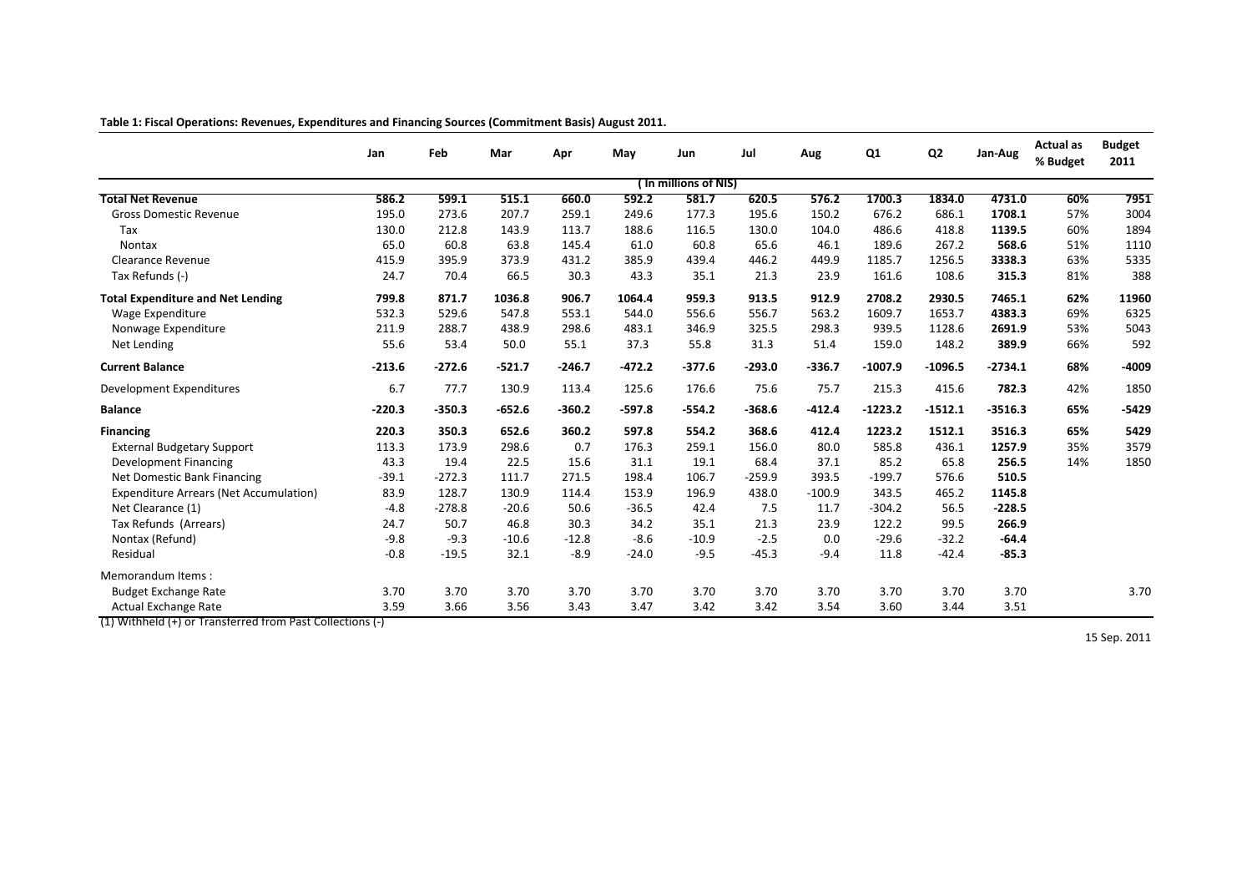|                                                                                   | Jan      | Feb      | Mar      | Apr      | May      | Jun                   | Jul      | Aug      | Q <sub>1</sub> | Q <sub>2</sub> | Jan-Aug   | <b>Actual as</b><br>% Budget | <b>Budget</b><br>2011 |
|-----------------------------------------------------------------------------------|----------|----------|----------|----------|----------|-----------------------|----------|----------|----------------|----------------|-----------|------------------------------|-----------------------|
|                                                                                   |          |          |          |          |          | ( In millions of NIS) |          |          |                |                |           |                              |                       |
| <b>Total Net Revenue</b>                                                          | 586.2    | 599.1    | 515.1    | 660.0    | 592.2    | 581.7                 | 620.5    | 576.2    | 1700.3         | 1834.0         | 4731.0    | 60%                          | 7951                  |
| <b>Gross Domestic Revenue</b>                                                     | 195.0    | 273.6    | 207.7    | 259.1    | 249.6    | 177.3                 | 195.6    | 150.2    | 676.2          | 686.1          | 1708.1    | 57%                          | 3004                  |
| Tax                                                                               | 130.0    | 212.8    | 143.9    | 113.7    | 188.6    | 116.5                 | 130.0    | 104.0    | 486.6          | 418.8          | 1139.5    | 60%                          | 1894                  |
| <b>Nontax</b>                                                                     | 65.0     | 60.8     | 63.8     | 145.4    | 61.0     | 60.8                  | 65.6     | 46.1     | 189.6          | 267.2          | 568.6     | 51%                          | 1110                  |
| Clearance Revenue                                                                 | 415.9    | 395.9    | 373.9    | 431.2    | 385.9    | 439.4                 | 446.2    | 449.9    | 1185.7         | 1256.5         | 3338.3    | 63%                          | 5335                  |
| Tax Refunds (-)                                                                   | 24.7     | 70.4     | 66.5     | 30.3     | 43.3     | 35.1                  | 21.3     | 23.9     | 161.6          | 108.6          | 315.3     | 81%                          | 388                   |
| <b>Total Expenditure and Net Lending</b>                                          | 799.8    | 871.7    | 1036.8   | 906.7    | 1064.4   | 959.3                 | 913.5    | 912.9    | 2708.2         | 2930.5         | 7465.1    | 62%                          | 11960                 |
| Wage Expenditure                                                                  | 532.3    | 529.6    | 547.8    | 553.1    | 544.0    | 556.6                 | 556.7    | 563.2    | 1609.7         | 1653.7         | 4383.3    | 69%                          | 6325                  |
| Nonwage Expenditure                                                               | 211.9    | 288.7    | 438.9    | 298.6    | 483.1    | 346.9                 | 325.5    | 298.3    | 939.5          | 1128.6         | 2691.9    | 53%                          | 5043                  |
| Net Lending                                                                       | 55.6     | 53.4     | 50.0     | 55.1     | 37.3     | 55.8                  | 31.3     | 51.4     | 159.0          | 148.2          | 389.9     | 66%                          | 592                   |
| <b>Current Balance</b>                                                            | $-213.6$ | $-272.6$ | $-521.7$ | $-246.7$ | $-472.2$ | $-377.6$              | $-293.0$ | -336.7   | $-1007.9$      | $-1096.5$      | $-2734.1$ | 68%                          | -4009                 |
| <b>Development Expenditures</b>                                                   | 6.7      | 77.7     | 130.9    | 113.4    | 125.6    | 176.6                 | 75.6     | 75.7     | 215.3          | 415.6          | 782.3     | 42%                          | 1850                  |
| <b>Balance</b>                                                                    | $-220.3$ | $-350.3$ | $-652.6$ | $-360.2$ | $-597.8$ | $-554.2$              | $-368.6$ | $-412.4$ | $-1223.2$      | $-1512.1$      | $-3516.3$ | 65%                          | $-5429$               |
| <b>Financing</b>                                                                  | 220.3    | 350.3    | 652.6    | 360.2    | 597.8    | 554.2                 | 368.6    | 412.4    | 1223.2         | 1512.1         | 3516.3    | 65%                          | 5429                  |
| <b>External Budgetary Support</b>                                                 | 113.3    | 173.9    | 298.6    | 0.7      | 176.3    | 259.1                 | 156.0    | 80.0     | 585.8          | 436.1          | 1257.9    | 35%                          | 3579                  |
| <b>Development Financing</b>                                                      | 43.3     | 19.4     | 22.5     | 15.6     | 31.1     | 19.1                  | 68.4     | 37.1     | 85.2           | 65.8           | 256.5     | 14%                          | 1850                  |
| Net Domestic Bank Financing                                                       | $-39.1$  | $-272.3$ | 111.7    | 271.5    | 198.4    | 106.7                 | $-259.9$ | 393.5    | $-199.7$       | 576.6          | 510.5     |                              |                       |
| <b>Expenditure Arrears (Net Accumulation)</b>                                     | 83.9     | 128.7    | 130.9    | 114.4    | 153.9    | 196.9                 | 438.0    | $-100.9$ | 343.5          | 465.2          | 1145.8    |                              |                       |
| Net Clearance (1)                                                                 | $-4.8$   | $-278.8$ | $-20.6$  | 50.6     | $-36.5$  | 42.4                  | 7.5      | 11.7     | $-304.2$       | 56.5           | $-228.5$  |                              |                       |
| Tax Refunds (Arrears)                                                             | 24.7     | 50.7     | 46.8     | 30.3     | 34.2     | 35.1                  | 21.3     | 23.9     | 122.2          | 99.5           | 266.9     |                              |                       |
| Nontax (Refund)                                                                   | $-9.8$   | $-9.3$   | $-10.6$  | $-12.8$  | $-8.6$   | $-10.9$               | $-2.5$   | 0.0      | $-29.6$        | $-32.2$        | $-64.4$   |                              |                       |
| Residual                                                                          | $-0.8$   | $-19.5$  | 32.1     | $-8.9$   | $-24.0$  | $-9.5$                | $-45.3$  | $-9.4$   | 11.8           | $-42.4$        | $-85.3$   |                              |                       |
| Memorandum Items:                                                                 |          |          |          |          |          |                       |          |          |                |                |           |                              |                       |
| <b>Budget Exchange Rate</b>                                                       | 3.70     | 3.70     | 3.70     | 3.70     | 3.70     | 3.70                  | 3.70     | 3.70     | 3.70           | 3.70           | 3.70      |                              | 3.70                  |
| Actual Exchange Rate<br>$(1)$ Withhold $(1)$ or Transformed from Past Collections | 3.59     | 3.66     | 3.56     | 3.43     | 3.47     | 3.42                  | 3.42     | 3.54     | 3.60           | 3.44           | 3.51      |                              |                       |

**Table 1: Fiscal Operations: Revenues, Expenditures and Financing Sources (Commitment Basis) August 2011.**

(1) Withheld (+) or Transferred from Past Collections (-)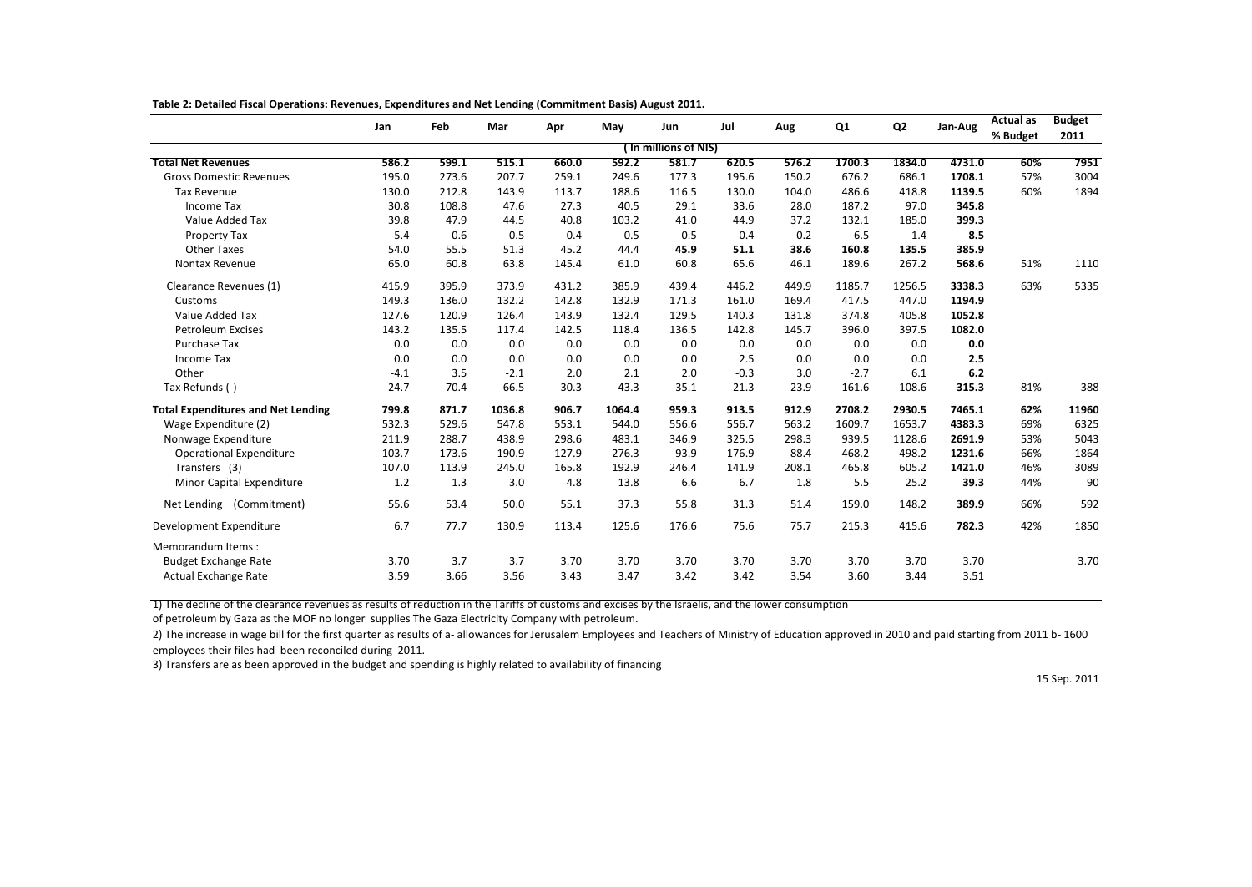|                                           | Jan    | Feb   | Mar    | Apr   | May    | Jun                   | Jul    | Aug   | Q1     | Q <sub>2</sub> | Jan-Aug | <b>Actual as</b> | <b>Budget</b> |
|-------------------------------------------|--------|-------|--------|-------|--------|-----------------------|--------|-------|--------|----------------|---------|------------------|---------------|
|                                           |        |       |        |       |        | ( In millions of NIS) |        |       |        |                |         | % Budget         | 2011          |
| <b>Total Net Revenues</b>                 | 586.2  | 599.1 | 515.1  | 660.0 | 592.2  | 581.7                 | 620.5  | 576.2 | 1700.3 | 1834.0         | 4731.0  | 60%              | 7951          |
|                                           |        |       |        |       |        |                       |        |       |        |                |         |                  |               |
| <b>Gross Domestic Revenues</b>            | 195.0  | 273.6 | 207.7  | 259.1 | 249.6  | 177.3                 | 195.6  | 150.2 | 676.2  | 686.1          | 1708.1  | 57%              | 3004          |
| <b>Tax Revenue</b>                        | 130.0  | 212.8 | 143.9  | 113.7 | 188.6  | 116.5                 | 130.0  | 104.0 | 486.6  | 418.8          | 1139.5  | 60%              | 1894          |
| <b>Income Tax</b>                         | 30.8   | 108.8 | 47.6   | 27.3  | 40.5   | 29.1                  | 33.6   | 28.0  | 187.2  | 97.0           | 345.8   |                  |               |
| Value Added Tax                           | 39.8   | 47.9  | 44.5   | 40.8  | 103.2  | 41.0                  | 44.9   | 37.2  | 132.1  | 185.0          | 399.3   |                  |               |
| Property Tax                              | 5.4    | 0.6   | 0.5    | 0.4   | 0.5    | 0.5                   | 0.4    | 0.2   | 6.5    | 1.4            | 8.5     |                  |               |
| Other Taxes                               | 54.0   | 55.5  | 51.3   | 45.2  | 44.4   | 45.9                  | 51.1   | 38.6  | 160.8  | 135.5          | 385.9   |                  |               |
| Nontax Revenue                            | 65.0   | 60.8  | 63.8   | 145.4 | 61.0   | 60.8                  | 65.6   | 46.1  | 189.6  | 267.2          | 568.6   | 51%              | 1110          |
| Clearance Revenues (1)                    | 415.9  | 395.9 | 373.9  | 431.2 | 385.9  | 439.4                 | 446.2  | 449.9 | 1185.7 | 1256.5         | 3338.3  | 63%              | 5335          |
| Customs                                   | 149.3  | 136.0 | 132.2  | 142.8 | 132.9  | 171.3                 | 161.0  | 169.4 | 417.5  | 447.0          | 1194.9  |                  |               |
| Value Added Tax                           | 127.6  | 120.9 | 126.4  | 143.9 | 132.4  | 129.5                 | 140.3  | 131.8 | 374.8  | 405.8          | 1052.8  |                  |               |
| <b>Petroleum Excises</b>                  | 143.2  | 135.5 | 117.4  | 142.5 | 118.4  | 136.5                 | 142.8  | 145.7 | 396.0  | 397.5          | 1082.0  |                  |               |
| Purchase Tax                              | 0.0    | 0.0   | 0.0    | 0.0   | 0.0    | 0.0                   | 0.0    | 0.0   | 0.0    | 0.0            | 0.0     |                  |               |
| Income Tax                                | 0.0    | 0.0   | 0.0    | 0.0   | 0.0    | 0.0                   | 2.5    | 0.0   | 0.0    | 0.0            | 2.5     |                  |               |
| Other                                     | $-4.1$ | 3.5   | $-2.1$ | 2.0   | 2.1    | 2.0                   | $-0.3$ | 3.0   | $-2.7$ | 6.1            | 6.2     |                  |               |
| Tax Refunds (-)                           | 24.7   | 70.4  | 66.5   | 30.3  | 43.3   | 35.1                  | 21.3   | 23.9  | 161.6  | 108.6          | 315.3   | 81%              | 388           |
| <b>Total Expenditures and Net Lending</b> | 799.8  | 871.7 | 1036.8 | 906.7 | 1064.4 | 959.3                 | 913.5  | 912.9 | 2708.2 | 2930.5         | 7465.1  | 62%              | 11960         |
| Wage Expenditure (2)                      | 532.3  | 529.6 | 547.8  | 553.1 | 544.0  | 556.6                 | 556.7  | 563.2 | 1609.7 | 1653.7         | 4383.3  | 69%              | 6325          |
| Nonwage Expenditure                       | 211.9  | 288.7 | 438.9  | 298.6 | 483.1  | 346.9                 | 325.5  | 298.3 | 939.5  | 1128.6         | 2691.9  | 53%              | 5043          |
| <b>Operational Expenditure</b>            | 103.7  | 173.6 | 190.9  | 127.9 | 276.3  | 93.9                  | 176.9  | 88.4  | 468.2  | 498.2          | 1231.6  | 66%              | 1864          |
| Transfers (3)                             | 107.0  | 113.9 | 245.0  | 165.8 | 192.9  | 246.4                 | 141.9  | 208.1 | 465.8  | 605.2          | 1421.0  | 46%              | 3089          |
| Minor Capital Expenditure                 | 1.2    | 1.3   | 3.0    | 4.8   | 13.8   | 6.6                   | 6.7    | 1.8   | 5.5    | 25.2           | 39.3    | 44%              | 90            |
| Net Lending (Commitment)                  | 55.6   | 53.4  | 50.0   | 55.1  | 37.3   | 55.8                  | 31.3   | 51.4  | 159.0  | 148.2          | 389.9   | 66%              | 592           |
| Development Expenditure                   | 6.7    | 77.7  | 130.9  | 113.4 | 125.6  | 176.6                 | 75.6   | 75.7  | 215.3  | 415.6          | 782.3   | 42%              | 1850          |
| Memorandum Items:                         |        |       |        |       |        |                       |        |       |        |                |         |                  |               |
| <b>Budget Exchange Rate</b>               | 3.70   | 3.7   | 3.7    | 3.70  | 3.70   | 3.70                  | 3.70   | 3.70  | 3.70   | 3.70           | 3.70    |                  | 3.70          |
| Actual Exchange Rate                      | 3.59   | 3.66  | 3.56   | 3.43  | 3.47   | 3.42                  | 3.42   | 3.54  | 3.60   | 3.44           | 3.51    |                  |               |

**Table 2: Detailed Fiscal Operations: Revenues, Expenditures and Net Lending (Commitment Basis) August 2011.**

1) The decline of the clearance revenues as results of reduction in the Tariffs of customs and excises by the Israelis, and the lower consumption

of petroleum by Gaza as the MOF no longer supplies The Gaza Electricity Company with petroleum.

2) The increase in wage bill for the first quarter as results of a- allowances for Jerusalem Employees and Teachers of Ministry of Education approved in 2010 and paid starting from 2011 b- 1600 employees their files had been reconciled during 2011.

3) Transfers are as been approved in the budget and spending is highly related to availability of financing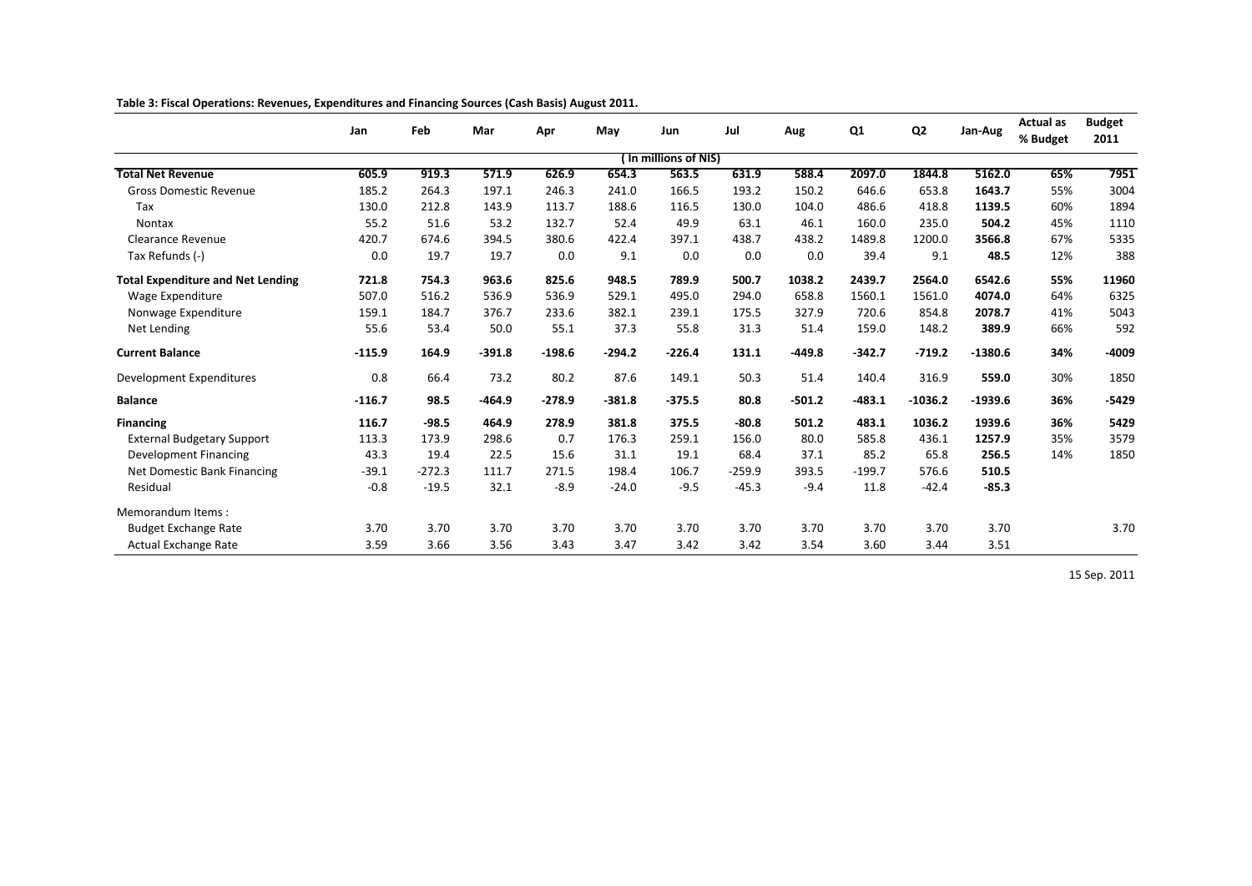|                                          | Jan      | Feb      | Mar      |          | May      | Jun                   | Jul      |          | Q1       | Q <sub>2</sub> |           | <b>Actual as</b> | <b>Budget</b> |
|------------------------------------------|----------|----------|----------|----------|----------|-----------------------|----------|----------|----------|----------------|-----------|------------------|---------------|
|                                          |          |          |          | Apr      |          |                       |          | Aug      |          |                | Jan-Aug   | % Budget         | 2011          |
|                                          |          |          |          |          |          | ( In millions of NIS) |          |          |          |                |           |                  |               |
| <b>Total Net Revenue</b>                 | 605.9    | 919.3    | 571.9    | 626.9    | 654.3    | 563.5                 | 631.9    | 588.4    | 2097.0   | 1844.8         | 5162.0    | 65%              | 7951          |
| <b>Gross Domestic Revenue</b>            | 185.2    | 264.3    | 197.1    | 246.3    | 241.0    | 166.5                 | 193.2    | 150.2    | 646.6    | 653.8          | 1643.7    | 55%              | 3004          |
| Tax                                      | 130.0    | 212.8    | 143.9    | 113.7    | 188.6    | 116.5                 | 130.0    | 104.0    | 486.6    | 418.8          | 1139.5    | 60%              | 1894          |
| <b>Nontax</b>                            | 55.2     | 51.6     | 53.2     | 132.7    | 52.4     | 49.9                  | 63.1     | 46.1     | 160.0    | 235.0          | 504.2     | 45%              | 1110          |
| <b>Clearance Revenue</b>                 | 420.7    | 674.6    | 394.5    | 380.6    | 422.4    | 397.1                 | 438.7    | 438.2    | 1489.8   | 1200.0         | 3566.8    | 67%              | 5335          |
| Tax Refunds (-)                          | 0.0      | 19.7     | 19.7     | 0.0      | 9.1      | 0.0                   | 0.0      | 0.0      | 39.4     | 9.1            | 48.5      | 12%              | 388           |
| <b>Total Expenditure and Net Lending</b> | 721.8    | 754.3    | 963.6    | 825.6    | 948.5    | 789.9                 | 500.7    | 1038.2   | 2439.7   | 2564.0         | 6542.6    | 55%              | 11960         |
| Wage Expenditure                         | 507.0    | 516.2    | 536.9    | 536.9    | 529.1    | 495.0                 | 294.0    | 658.8    | 1560.1   | 1561.0         | 4074.0    | 64%              | 6325          |
| Nonwage Expenditure                      | 159.1    | 184.7    | 376.7    | 233.6    | 382.1    | 239.1                 | 175.5    | 327.9    | 720.6    | 854.8          | 2078.7    | 41%              | 5043          |
| Net Lending                              | 55.6     | 53.4     | 50.0     | 55.1     | 37.3     | 55.8                  | 31.3     | 51.4     | 159.0    | 148.2          | 389.9     | 66%              | 592           |
| <b>Current Balance</b>                   | $-115.9$ | 164.9    | $-391.8$ | $-198.6$ | $-294.2$ | $-226.4$              | 131.1    | $-449.8$ | $-342.7$ | $-719.2$       | $-1380.6$ | 34%              | $-4009$       |
| Development Expenditures                 | 0.8      | 66.4     | 73.2     | 80.2     | 87.6     | 149.1                 | 50.3     | 51.4     | 140.4    | 316.9          | 559.0     | 30%              | 1850          |
| <b>Balance</b>                           | $-116.7$ | 98.5     | $-464.9$ | $-278.9$ | $-381.8$ | $-375.5$              | 80.8     | $-501.2$ | $-483.1$ | $-1036.2$      | $-1939.6$ | 36%              | $-5429$       |
| <b>Financing</b>                         | 116.7    | $-98.5$  | 464.9    | 278.9    | 381.8    | 375.5                 | $-80.8$  | 501.2    | 483.1    | 1036.2         | 1939.6    | 36%              | 5429          |
| <b>External Budgetary Support</b>        | 113.3    | 173.9    | 298.6    | 0.7      | 176.3    | 259.1                 | 156.0    | 80.0     | 585.8    | 436.1          | 1257.9    | 35%              | 3579          |
| <b>Development Financing</b>             | 43.3     | 19.4     | 22.5     | 15.6     | 31.1     | 19.1                  | 68.4     | 37.1     | 85.2     | 65.8           | 256.5     | 14%              | 1850          |
| Net Domestic Bank Financing              | $-39.1$  | $-272.3$ | 111.7    | 271.5    | 198.4    | 106.7                 | $-259.9$ | 393.5    | $-199.7$ | 576.6          | 510.5     |                  |               |
| Residual                                 | $-0.8$   | $-19.5$  | 32.1     | $-8.9$   | $-24.0$  | $-9.5$                | $-45.3$  | $-9.4$   | 11.8     | $-42.4$        | $-85.3$   |                  |               |
| Memorandum Items:                        |          |          |          |          |          |                       |          |          |          |                |           |                  |               |
| <b>Budget Exchange Rate</b>              | 3.70     | 3.70     | 3.70     | 3.70     | 3.70     | 3.70                  | 3.70     | 3.70     | 3.70     | 3.70           | 3.70      |                  | 3.70          |
| <b>Actual Exchange Rate</b>              | 3.59     | 3.66     | 3.56     | 3.43     | 3.47     | 3.42                  | 3.42     | 3.54     | 3.60     | 3.44           | 3.51      |                  |               |

**Table 3: Fiscal Operations: Revenues, Expenditures and Financing Sources (Cash Basis) August 2011.**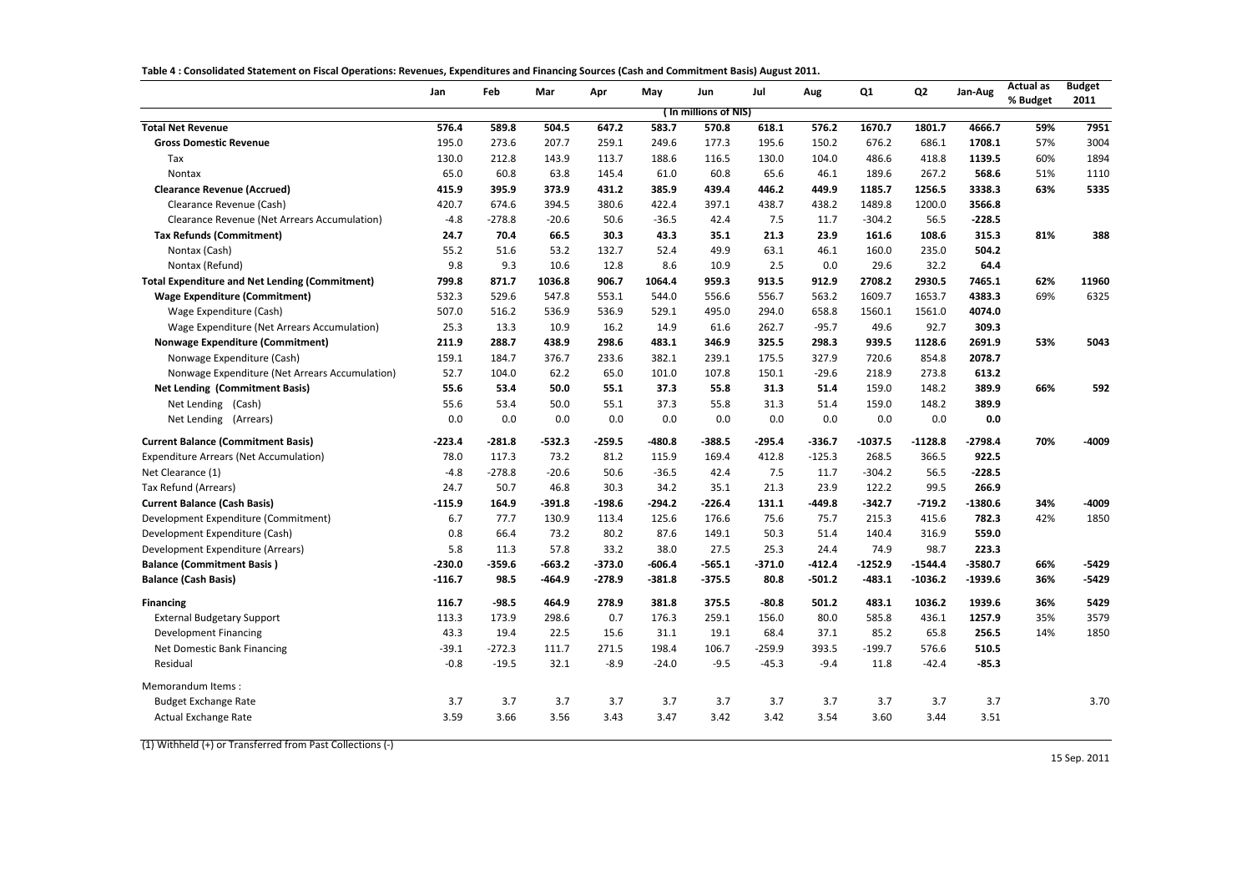| Table 4: Consolidated Statement on Fiscal Operations: Revenues, Expenditures and Financing Sources (Cash and Commitment Basis) August 2011. |  |  |  |
|---------------------------------------------------------------------------------------------------------------------------------------------|--|--|--|
|                                                                                                                                             |  |  |  |

|                                                       | Jan      | Feb      | Mar      | Apr      | May      | Jun                   | Jul      | Aug      | Q1        | Q <sub>2</sub> | Jan-Aug   | <b>Actual as</b><br>% Budget | <b>Budget</b><br>2011 |
|-------------------------------------------------------|----------|----------|----------|----------|----------|-----------------------|----------|----------|-----------|----------------|-----------|------------------------------|-----------------------|
|                                                       |          |          |          |          |          | ( In millions of NIS) |          |          |           |                |           |                              |                       |
| <b>Total Net Revenue</b>                              | 576.4    | 589.8    | 504.5    | 647.2    | 583.7    | 570.8                 | 618.1    | 576.2    | 1670.7    | 1801.7         | 4666.7    | 59%                          | 7951                  |
| <b>Gross Domestic Revenue</b>                         | 195.0    | 273.6    | 207.7    | 259.1    | 249.6    | 177.3                 | 195.6    | 150.2    | 676.2     | 686.1          | 1708.1    | 57%                          | 3004                  |
| Tax                                                   | 130.0    | 212.8    | 143.9    | 113.7    | 188.6    | 116.5                 | 130.0    | 104.0    | 486.6     | 418.8          | 1139.5    | 60%                          | 1894                  |
| <b>Nontax</b>                                         | 65.0     | 60.8     | 63.8     | 145.4    | 61.0     | 60.8                  | 65.6     | 46.1     | 189.6     | 267.2          | 568.6     | 51%                          | 1110                  |
| <b>Clearance Revenue (Accrued)</b>                    | 415.9    | 395.9    | 373.9    | 431.2    | 385.9    | 439.4                 | 446.2    | 449.9    | 1185.7    | 1256.5         | 3338.3    | 63%                          | 5335                  |
| Clearance Revenue (Cash)                              | 420.7    | 674.6    | 394.5    | 380.6    | 422.4    | 397.1                 | 438.7    | 438.2    | 1489.8    | 1200.0         | 3566.8    |                              |                       |
| <b>Clearance Revenue (Net Arrears Accumulation)</b>   | $-4.8$   | $-278.8$ | $-20.6$  | 50.6     | $-36.5$  | 42.4                  | 7.5      | 11.7     | $-304.2$  | 56.5           | $-228.5$  |                              |                       |
| <b>Tax Refunds (Commitment)</b>                       | 24.7     | 70.4     | 66.5     | 30.3     | 43.3     | 35.1                  | 21.3     | 23.9     | 161.6     | 108.6          | 315.3     | 81%                          | 388                   |
| Nontax (Cash)                                         | 55.2     | 51.6     | 53.2     | 132.7    | 52.4     | 49.9                  | 63.1     | 46.1     | 160.0     | 235.0          | 504.2     |                              |                       |
| Nontax (Refund)                                       | 9.8      | 9.3      | 10.6     | 12.8     | 8.6      | 10.9                  | 2.5      | 0.0      | 29.6      | 32.2           | 64.4      |                              |                       |
| <b>Total Expenditure and Net Lending (Commitment)</b> | 799.8    | 871.7    | 1036.8   | 906.7    | 1064.4   | 959.3                 | 913.5    | 912.9    | 2708.2    | 2930.5         | 7465.1    | 62%                          | 11960                 |
| <b>Wage Expenditure (Commitment)</b>                  | 532.3    | 529.6    | 547.8    | 553.1    | 544.0    | 556.6                 | 556.7    | 563.2    | 1609.7    | 1653.7         | 4383.3    | 69%                          | 6325                  |
| Wage Expenditure (Cash)                               | 507.0    | 516.2    | 536.9    | 536.9    | 529.1    | 495.0                 | 294.0    | 658.8    | 1560.1    | 1561.0         | 4074.0    |                              |                       |
| Wage Expenditure (Net Arrears Accumulation)           | 25.3     | 13.3     | 10.9     | 16.2     | 14.9     | 61.6                  | 262.7    | $-95.7$  | 49.6      | 92.7           | 309.3     |                              |                       |
| <b>Nonwage Expenditure (Commitment)</b>               | 211.9    | 288.7    | 438.9    | 298.6    | 483.1    | 346.9                 | 325.5    | 298.3    | 939.5     | 1128.6         | 2691.9    | 53%                          | 5043                  |
| Nonwage Expenditure (Cash)                            | 159.1    | 184.7    | 376.7    | 233.6    | 382.1    | 239.1                 | 175.5    | 327.9    | 720.6     | 854.8          | 2078.7    |                              |                       |
| Nonwage Expenditure (Net Arrears Accumulation)        | 52.7     | 104.0    | 62.2     | 65.0     | 101.0    | 107.8                 | 150.1    | $-29.6$  | 218.9     | 273.8          | 613.2     |                              |                       |
| <b>Net Lending (Commitment Basis)</b>                 | 55.6     | 53.4     | 50.0     | 55.1     | 37.3     | 55.8                  | 31.3     | 51.4     | 159.0     | 148.2          | 389.9     | 66%                          | 592                   |
| Net Lending (Cash)                                    | 55.6     | 53.4     | 50.0     | 55.1     | 37.3     | 55.8                  | 31.3     | 51.4     | 159.0     | 148.2          | 389.9     |                              |                       |
| Net Lending (Arrears)                                 | 0.0      | 0.0      | 0.0      | 0.0      | 0.0      | 0.0                   | 0.0      | 0.0      | 0.0       | 0.0            | 0.0       |                              |                       |
| <b>Current Balance (Commitment Basis)</b>             | $-223.4$ | $-281.8$ | $-532.3$ | $-259.5$ | $-480.8$ | -388.5                | $-295.4$ | $-336.7$ | $-1037.5$ | $-1128.8$      | $-2798.4$ | 70%                          | $-4009$               |
| <b>Expenditure Arrears (Net Accumulation)</b>         | 78.0     | 117.3    | 73.2     | 81.2     | 115.9    | 169.4                 | 412.8    | $-125.3$ | 268.5     | 366.5          | 922.5     |                              |                       |
| Net Clearance (1)                                     | $-4.8$   | $-278.8$ | $-20.6$  | 50.6     | $-36.5$  | 42.4                  | 7.5      | 11.7     | $-304.2$  | 56.5           | $-228.5$  |                              |                       |
| Tax Refund (Arrears)                                  | 24.7     | 50.7     | 46.8     | 30.3     | 34.2     | 35.1                  | 21.3     | 23.9     | 122.2     | 99.5           | 266.9     |                              |                       |
| <b>Current Balance (Cash Basis)</b>                   | $-115.9$ | 164.9    | $-391.8$ | $-198.6$ | $-294.2$ | $-226.4$              | 131.1    | $-449.8$ | $-342.7$  | $-719.2$       | $-1380.6$ | 34%                          | -4009                 |
| Development Expenditure (Commitment)                  | 6.7      | 77.7     | 130.9    | 113.4    | 125.6    | 176.6                 | 75.6     | 75.7     | 215.3     | 415.6          | 782.3     | 42%                          | 1850                  |
| Development Expenditure (Cash)                        | 0.8      | 66.4     | 73.2     | 80.2     | 87.6     | 149.1                 | 50.3     | 51.4     | 140.4     | 316.9          | 559.0     |                              |                       |
| Development Expenditure (Arrears)                     | 5.8      | 11.3     | 57.8     | 33.2     | 38.0     | 27.5                  | 25.3     | 24.4     | 74.9      | 98.7           | 223.3     |                              |                       |
| <b>Balance (Commitment Basis)</b>                     | $-230.0$ | $-359.6$ | $-663.2$ | $-373.0$ | $-606.4$ | $-565.1$              | $-371.0$ | $-412.4$ | $-1252.9$ | $-1544.4$      | $-3580.7$ | 66%                          | $-5429$               |
| <b>Balance (Cash Basis)</b>                           | $-116.7$ | 98.5     | $-464.9$ | $-278.9$ | $-381.8$ | $-375.5$              | 80.8     | -501.2   | $-483.1$  | $-1036.2$      | -1939.6   | 36%                          | -5429                 |
| <b>Financing</b>                                      | 116.7    | $-98.5$  | 464.9    | 278.9    | 381.8    | 375.5                 | $-80.8$  | 501.2    | 483.1     | 1036.2         | 1939.6    | 36%                          | 5429                  |
| <b>External Budgetary Support</b>                     | 113.3    | 173.9    | 298.6    | 0.7      | 176.3    | 259.1                 | 156.0    | 80.0     | 585.8     | 436.1          | 1257.9    | 35%                          | 3579                  |
| Development Financing                                 | 43.3     | 19.4     | 22.5     | 15.6     | 31.1     | 19.1                  | 68.4     | 37.1     | 85.2      | 65.8           | 256.5     | 14%                          | 1850                  |
| Net Domestic Bank Financing                           | $-39.1$  | $-272.3$ | 111.7    | 271.5    | 198.4    | 106.7                 | $-259.9$ | 393.5    | $-199.7$  | 576.6          | 510.5     |                              |                       |
| Residual                                              | $-0.8$   | $-19.5$  | 32.1     | $-8.9$   | $-24.0$  | $-9.5$                | $-45.3$  | $-9.4$   | 11.8      | $-42.4$        | $-85.3$   |                              |                       |
| Memorandum Items:                                     |          |          |          |          |          |                       |          |          |           |                |           |                              |                       |
| <b>Budget Exchange Rate</b>                           | 3.7      | 3.7      | 3.7      | 3.7      | 3.7      | 3.7                   | 3.7      | 3.7      | 3.7       | 3.7            | 3.7       |                              | 3.70                  |
| Actual Exchange Rate                                  | 3.59     | 3.66     | 3.56     | 3.43     | 3.47     | 3.42                  | 3.42     | 3.54     | 3.60      | 3.44           | 3.51      |                              |                       |

(1) Withheld (+) or Transferred from Past Collections (-)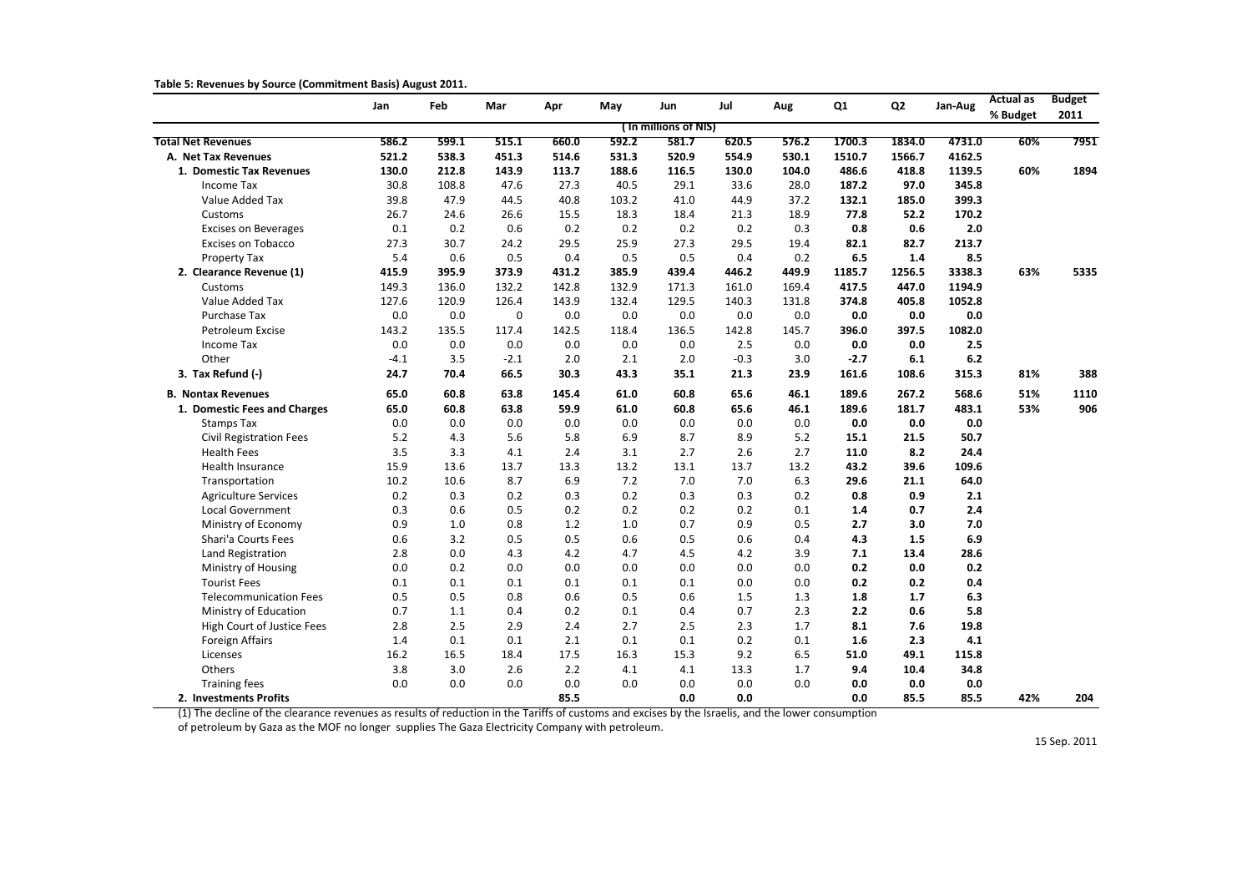**Table 5: Revenues by Source (Commitment Basis) August 2011.**

|                                | Jan    | <b>Feb</b> | Mar         | Apr   | May   | Jun                  | Jul     | Aug   | Q1     | Q <sub>2</sub> | Jan-Aug | <b>Actual as</b> | <b>Budget</b> |
|--------------------------------|--------|------------|-------------|-------|-------|----------------------|---------|-------|--------|----------------|---------|------------------|---------------|
|                                |        |            |             |       |       | (In millions of NIS) |         |       |        |                |         | % Budget         | 2011          |
| <b>Total Net Revenues</b>      | 586.2  | 599.1      | 515.1       | 660.0 | 592.2 | 581.7                | 620.5   | 576.2 | 1700.3 | 1834.0         | 4731.0  | 60%              | 7951          |
| A. Net Tax Revenues            | 521.2  | 538.3      | 451.3       | 514.6 | 531.3 | 520.9                | 554.9   | 530.1 | 1510.7 | 1566.7         | 4162.5  |                  |               |
| 1. Domestic Tax Revenues       | 130.0  | 212.8      | 143.9       | 113.7 | 188.6 | 116.5                | 130.0   | 104.0 | 486.6  | 418.8          | 1139.5  | 60%              | 1894          |
| <b>Income Tax</b>              | 30.8   | 108.8      | 47.6        | 27.3  | 40.5  | 29.1                 | 33.6    | 28.0  | 187.2  | 97.0           | 345.8   |                  |               |
| Value Added Tax                | 39.8   | 47.9       | 44.5        | 40.8  | 103.2 | 41.0                 | 44.9    | 37.2  | 132.1  | 185.0          | 399.3   |                  |               |
| Customs                        | 26.7   | 24.6       | 26.6        | 15.5  | 18.3  | 18.4                 | 21.3    | 18.9  | 77.8   | 52.2           | 170.2   |                  |               |
| <b>Excises on Beverages</b>    | 0.1    | 0.2        | 0.6         | 0.2   | 0.2   | 0.2                  | 0.2     | 0.3   | 0.8    | 0.6            | 2.0     |                  |               |
| Excises on Tobacco             | 27.3   | 30.7       | 24.2        | 29.5  | 25.9  | 27.3                 | 29.5    | 19.4  | 82.1   | 82.7           | 213.7   |                  |               |
| Property Tax                   | 5.4    | 0.6        | 0.5         | 0.4   | 0.5   | 0.5                  | 0.4     | 0.2   | 6.5    | 1.4            | 8.5     |                  |               |
| 2. Clearance Revenue (1)       | 415.9  | 395.9      | 373.9       | 431.2 | 385.9 | 439.4                | 446.2   | 449.9 | 1185.7 | 1256.5         | 3338.3  | 63%              | 5335          |
| Customs                        | 149.3  | 136.0      | 132.2       | 142.8 | 132.9 | 171.3                | 161.0   | 169.4 | 417.5  | 447.0          | 1194.9  |                  |               |
| Value Added Tax                | 127.6  | 120.9      | 126.4       | 143.9 | 132.4 | 129.5                | 140.3   | 131.8 | 374.8  | 405.8          | 1052.8  |                  |               |
| Purchase Tax                   | 0.0    | 0.0        | $\mathbf 0$ | 0.0   | 0.0   | 0.0                  | 0.0     | 0.0   | 0.0    | 0.0            | 0.0     |                  |               |
| Petroleum Excise               | 143.2  | 135.5      | 117.4       | 142.5 | 118.4 | 136.5                | 142.8   | 145.7 | 396.0  | 397.5          | 1082.0  |                  |               |
| Income Tax                     | 0.0    | 0.0        | 0.0         | 0.0   | 0.0   | 0.0                  | 2.5     | 0.0   | 0.0    | 0.0            | 2.5     |                  |               |
| Other                          | $-4.1$ | 3.5        | $-2.1$      | 2.0   | 2.1   | 2.0                  | $-0.3$  | 3.0   | $-2.7$ | 6.1            | 6.2     |                  |               |
| 3. Tax Refund (-)              | 24.7   | 70.4       | 66.5        | 30.3  | 43.3  | 35.1                 | 21.3    | 23.9  | 161.6  | 108.6          | 315.3   | 81%              | 388           |
| <b>B. Nontax Revenues</b>      | 65.0   | 60.8       | 63.8        | 145.4 | 61.0  | 60.8                 | 65.6    | 46.1  | 189.6  | 267.2          | 568.6   | 51%              | 1110          |
| 1. Domestic Fees and Charges   | 65.0   | 60.8       | 63.8        | 59.9  | 61.0  | 60.8                 | 65.6    | 46.1  | 189.6  | 181.7          | 483.1   | 53%              | 906           |
| <b>Stamps Tax</b>              | 0.0    | 0.0        | 0.0         | 0.0   | 0.0   | 0.0                  | 0.0     | 0.0   | 0.0    | 0.0            | 0.0     |                  |               |
| <b>Civil Registration Fees</b> | 5.2    | 4.3        | 5.6         | 5.8   | 6.9   | 8.7                  | 8.9     | 5.2   | 15.1   | 21.5           | 50.7    |                  |               |
| <b>Health Fees</b>             | 3.5    | 3.3        | 4.1         | 2.4   | 3.1   | 2.7                  | 2.6     | 2.7   | 11.0   | 8.2            | 24.4    |                  |               |
| <b>Health Insurance</b>        | 15.9   | 13.6       | 13.7        | 13.3  | 13.2  | 13.1                 | 13.7    | 13.2  | 43.2   | 39.6           | 109.6   |                  |               |
| Transportation                 | 10.2   | 10.6       | 8.7         | 6.9   | 7.2   | 7.0                  | 7.0     | 6.3   | 29.6   | 21.1           | 64.0    |                  |               |
| <b>Agriculture Services</b>    | 0.2    | 0.3        | 0.2         | 0.3   | 0.2   | 0.3                  | 0.3     | 0.2   | 0.8    | 0.9            | 2.1     |                  |               |
| Local Government               | 0.3    | 0.6        | 0.5         | 0.2   | 0.2   | 0.2                  | 0.2     | 0.1   | 1.4    | 0.7            | 2.4     |                  |               |
| Ministry of Economy            | 0.9    | 1.0        | 0.8         | 1.2   | 1.0   | 0.7                  | 0.9     | 0.5   | 2.7    | 3.0            | 7.0     |                  |               |
| Shari'a Courts Fees            | 0.6    | 3.2        | 0.5         | 0.5   | 0.6   | 0.5                  | 0.6     | 0.4   | 4.3    | 1.5            | 6.9     |                  |               |
| Land Registration              | 2.8    | 0.0        | 4.3         | 4.2   | 4.7   | 4.5                  | 4.2     | 3.9   | 7.1    | 13.4           | 28.6    |                  |               |
| Ministry of Housing            | 0.0    | 0.2        | $0.0\,$     | 0.0   | 0.0   | 0.0                  | 0.0     | 0.0   | 0.2    | 0.0            | 0.2     |                  |               |
| <b>Tourist Fees</b>            | 0.1    | 0.1        | 0.1         | 0.1   | 0.1   | 0.1                  | $0.0\,$ | 0.0   | 0.2    | 0.2            | 0.4     |                  |               |
| <b>Telecommunication Fees</b>  | 0.5    | 0.5        | 0.8         | 0.6   | 0.5   | 0.6                  | 1.5     | 1.3   | 1.8    | 1.7            | 6.3     |                  |               |
| Ministry of Education          | 0.7    | $1.1\,$    | 0.4         | 0.2   | 0.1   | 0.4                  | 0.7     | 2.3   | 2.2    | 0.6            | 5.8     |                  |               |
| High Court of Justice Fees     | 2.8    | 2.5        | 2.9         | 2.4   | 2.7   | 2.5                  | 2.3     | 1.7   | 8.1    | 7.6            | 19.8    |                  |               |
| Foreign Affairs                | 1.4    | 0.1        | 0.1         | 2.1   | 0.1   | 0.1                  | 0.2     | 0.1   | 1.6    | 2.3            | 4.1     |                  |               |
| Licenses                       | 16.2   | 16.5       | 18.4        | 17.5  | 16.3  | 15.3                 | 9.2     | 6.5   | 51.0   | 49.1           | 115.8   |                  |               |
| Others                         | 3.8    | 3.0        | 2.6         | 2.2   | 4.1   | 4.1                  | 13.3    | 1.7   | 9.4    | 10.4           | 34.8    |                  |               |
| <b>Training fees</b>           | 0.0    | 0.0        | 0.0         | 0.0   | 0.0   | 0.0                  | 0.0     | 0.0   | 0.0    | 0.0            | 0.0     |                  |               |
| 2. Investments Profits         |        |            |             | 85.5  |       | 0.0                  | 0.0     |       | 0.0    | 85.5           | 85.5    | 42%              | 204           |

(1) The decline of the clearance revenues as results of reduction in the Tariffs of customs and excises by the Israelis, and the lower consumption

of petroleum by Gaza as the MOF no longer supplies The Gaza Electricity Company with petroleum.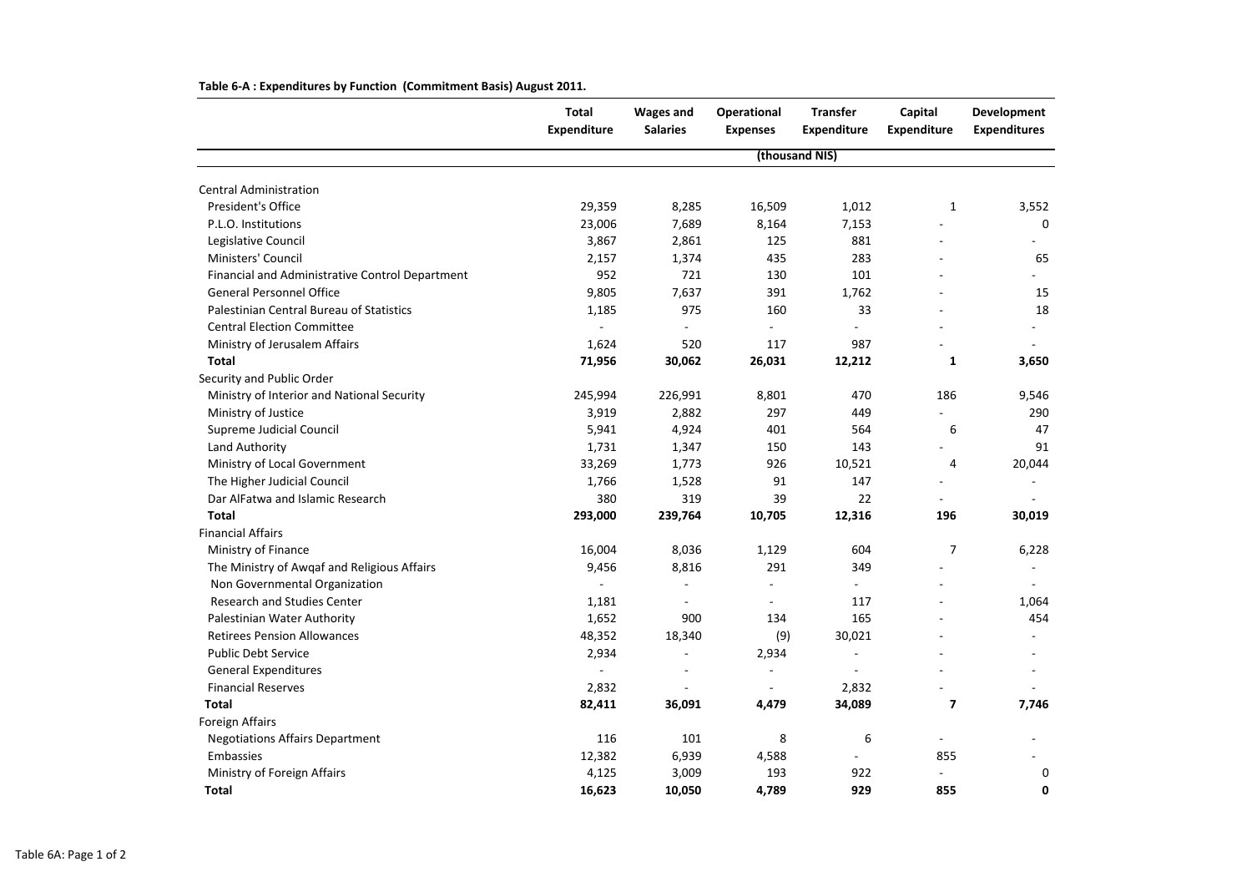|                                                 | <b>Total</b><br><b>Expenditure</b> | <b>Wages and</b><br><b>Salaries</b> | Operational<br><b>Expenses</b> | <b>Transfer</b><br><b>Expenditure</b> | Capital<br><b>Expenditure</b> | <b>Development</b><br><b>Expenditures</b> |
|-------------------------------------------------|------------------------------------|-------------------------------------|--------------------------------|---------------------------------------|-------------------------------|-------------------------------------------|
|                                                 |                                    |                                     |                                | (thousand NIS)                        |                               |                                           |
| <b>Central Administration</b>                   |                                    |                                     |                                |                                       |                               |                                           |
| President's Office                              | 29,359                             | 8,285                               | 16,509                         | 1,012                                 | 1                             | 3,552                                     |
| P.L.O. Institutions                             | 23,006                             | 7,689                               | 8,164                          | 7,153                                 |                               | $\mathbf 0$                               |
| Legislative Council                             | 3,867                              | 2,861                               | 125                            | 881                                   |                               |                                           |
| Ministers' Council                              | 2,157                              | 1,374                               | 435                            | 283                                   |                               | 65                                        |
| Financial and Administrative Control Department | 952                                | 721                                 | 130                            | 101                                   |                               |                                           |
| <b>General Personnel Office</b>                 | 9,805                              | 7,637                               | 391                            | 1,762                                 |                               | 15                                        |
| Palestinian Central Bureau of Statistics        | 1,185                              | 975                                 | 160                            | 33                                    |                               | 18                                        |
| <b>Central Election Committee</b>               |                                    |                                     |                                |                                       |                               |                                           |
| Ministry of Jerusalem Affairs                   | 1,624                              | 520                                 | 117                            | 987                                   |                               |                                           |
| <b>Total</b>                                    | 71,956                             | 30,062                              | 26,031                         | 12,212                                | 1                             | 3,650                                     |
| Security and Public Order                       |                                    |                                     |                                |                                       |                               |                                           |
| Ministry of Interior and National Security      | 245,994                            | 226,991                             | 8,801                          | 470                                   | 186                           | 9,546                                     |
| Ministry of Justice                             | 3,919                              | 2,882                               | 297                            | 449                                   |                               | 290                                       |
| Supreme Judicial Council                        | 5,941                              | 4,924                               | 401                            | 564                                   | 6                             | 47                                        |
| Land Authority                                  | 1,731                              | 1,347                               | 150                            | 143                                   |                               | 91                                        |
| Ministry of Local Government                    | 33,269                             | 1,773                               | 926                            | 10,521                                | 4                             | 20,044                                    |
| The Higher Judicial Council                     | 1,766                              | 1,528                               | 91                             | 147                                   |                               |                                           |
| Dar AlFatwa and Islamic Research                | 380                                | 319                                 | 39                             | 22                                    |                               |                                           |
| <b>Total</b>                                    | 293,000                            | 239,764                             | 10,705                         | 12,316                                | 196                           | 30,019                                    |
| <b>Financial Affairs</b>                        |                                    |                                     |                                |                                       |                               |                                           |
| Ministry of Finance                             | 16,004                             | 8,036                               | 1,129                          | 604                                   | 7                             | 6,228                                     |
| The Ministry of Awgaf and Religious Affairs     | 9,456                              | 8,816                               | 291                            | 349                                   |                               |                                           |
| Non Governmental Organization                   |                                    | $\overline{\phantom{a}}$            | $\overline{\phantom{a}}$       | $\overline{\phantom{a}}$              |                               |                                           |
| <b>Research and Studies Center</b>              | 1,181                              | $\overline{\phantom{a}}$            |                                | 117                                   |                               | 1,064                                     |
| Palestinian Water Authority                     | 1,652                              | 900                                 | 134                            | 165                                   |                               | 454                                       |
| <b>Retirees Pension Allowances</b>              | 48,352                             | 18,340                              | (9)                            | 30,021                                |                               |                                           |
| <b>Public Debt Service</b>                      | 2,934                              |                                     | 2,934                          |                                       |                               |                                           |
| <b>General Expenditures</b>                     | $\sim$                             |                                     |                                |                                       |                               |                                           |
| <b>Financial Reserves</b>                       | 2,832                              |                                     |                                | 2,832                                 |                               |                                           |
| <b>Total</b>                                    | 82,411                             | 36,091                              | 4,479                          | 34,089                                | $\overline{\mathbf{z}}$       | 7,746                                     |
| Foreign Affairs                                 |                                    |                                     |                                |                                       |                               |                                           |
| <b>Negotiations Affairs Department</b>          | 116                                | 101                                 | 8                              | 6                                     | $\overline{\phantom{a}}$      |                                           |
| Embassies                                       | 12,382                             | 6,939                               | 4,588                          |                                       | 855                           |                                           |
| Ministry of Foreign Affairs                     | 4,125                              | 3,009                               | 193                            | 922                                   |                               | 0                                         |
| <b>Total</b>                                    | 16,623                             | 10,050                              | 4,789                          | 929                                   | 855                           | 0                                         |

**Table 6-A : Expenditures by Function (Commitment Basis) August 2011.**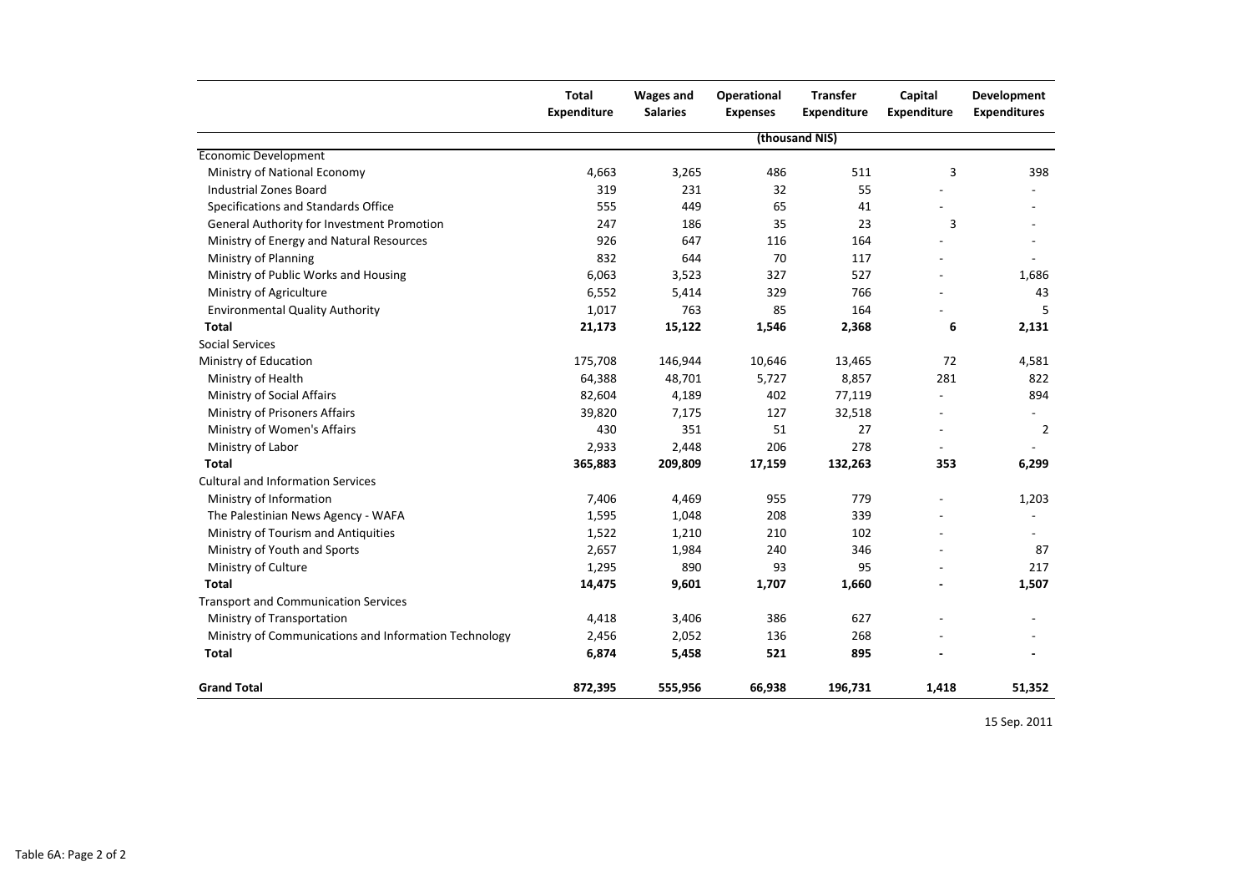|                                                       | <b>Total</b><br><b>Expenditure</b> | <b>Wages and</b><br><b>Salaries</b> | <b>Operational</b><br><b>Expenses</b> | <b>Transfer</b><br><b>Expenditure</b> | Capital<br><b>Expenditure</b> | <b>Development</b><br><b>Expenditures</b> |
|-------------------------------------------------------|------------------------------------|-------------------------------------|---------------------------------------|---------------------------------------|-------------------------------|-------------------------------------------|
|                                                       |                                    |                                     |                                       | (thousand NIS)                        |                               |                                           |
| <b>Economic Development</b>                           |                                    |                                     |                                       |                                       |                               |                                           |
| Ministry of National Economy                          | 4,663                              | 3,265                               | 486                                   | 511                                   | $\overline{3}$                | 398                                       |
| <b>Industrial Zones Board</b>                         | 319                                | 231                                 | 32                                    | 55                                    |                               |                                           |
| Specifications and Standards Office                   | 555                                | 449                                 | 65                                    | 41                                    |                               |                                           |
| <b>General Authority for Investment Promotion</b>     | 247                                | 186                                 | 35                                    | 23                                    | $\mathbf{3}$                  |                                           |
| Ministry of Energy and Natural Resources              | 926                                | 647                                 | 116                                   | 164                                   |                               |                                           |
| Ministry of Planning                                  | 832                                | 644                                 | 70                                    | 117                                   |                               |                                           |
| Ministry of Public Works and Housing                  | 6,063                              | 3,523                               | 327                                   | 527                                   |                               | 1,686                                     |
| Ministry of Agriculture                               | 6,552                              | 5,414                               | 329                                   | 766                                   |                               | 43                                        |
| <b>Environmental Quality Authority</b>                | 1,017                              | 763                                 | 85                                    | 164                                   |                               | 5                                         |
| <b>Total</b>                                          | 21,173                             | 15,122                              | 1,546                                 | 2,368                                 | 6                             | 2,131                                     |
| <b>Social Services</b>                                |                                    |                                     |                                       |                                       |                               |                                           |
| Ministry of Education                                 | 175,708                            | 146,944                             | 10,646                                | 13,465                                | 72                            | 4,581                                     |
| Ministry of Health                                    | 64,388                             | 48,701                              | 5,727                                 | 8,857                                 | 281                           | 822                                       |
| Ministry of Social Affairs                            | 82,604                             | 4,189                               | 402                                   | 77,119                                |                               | 894                                       |
| Ministry of Prisoners Affairs                         | 39,820                             | 7,175                               | 127                                   | 32,518                                | $\overline{\phantom{m}}$      |                                           |
| Ministry of Women's Affairs                           | 430                                | 351                                 | 51                                    | 27                                    | $\overline{a}$                | $\overline{2}$                            |
| Ministry of Labor                                     | 2,933                              | 2,448                               | 206                                   | 278                                   |                               |                                           |
| <b>Total</b>                                          | 365,883                            | 209,809                             | 17,159                                | 132,263                               | 353                           | 6,299                                     |
| <b>Cultural and Information Services</b>              |                                    |                                     |                                       |                                       |                               |                                           |
| Ministry of Information                               | 7,406                              | 4,469                               | 955                                   | 779                                   |                               | 1,203                                     |
| The Palestinian News Agency - WAFA                    | 1,595                              | 1,048                               | 208                                   | 339                                   |                               |                                           |
| Ministry of Tourism and Antiquities                   | 1,522                              | 1,210                               | 210                                   | 102                                   |                               |                                           |
| Ministry of Youth and Sports                          | 2,657                              | 1,984                               | 240                                   | 346                                   |                               | 87                                        |
| Ministry of Culture                                   | 1,295                              | 890                                 | 93                                    | 95                                    |                               | 217                                       |
| <b>Total</b>                                          | 14,475                             | 9,601                               | 1,707                                 | 1,660                                 |                               | 1,507                                     |
| <b>Transport and Communication Services</b>           |                                    |                                     |                                       |                                       |                               |                                           |
| Ministry of Transportation                            | 4,418                              | 3,406                               | 386                                   | 627                                   |                               |                                           |
| Ministry of Communications and Information Technology | 2,456                              | 2,052                               | 136                                   | 268                                   |                               |                                           |
| <b>Total</b>                                          | 6,874                              | 5,458                               | 521                                   | 895                                   |                               |                                           |
| <b>Grand Total</b>                                    | 872,395                            | 555,956                             | 66,938                                | 196,731                               | 1,418                         | 51,352                                    |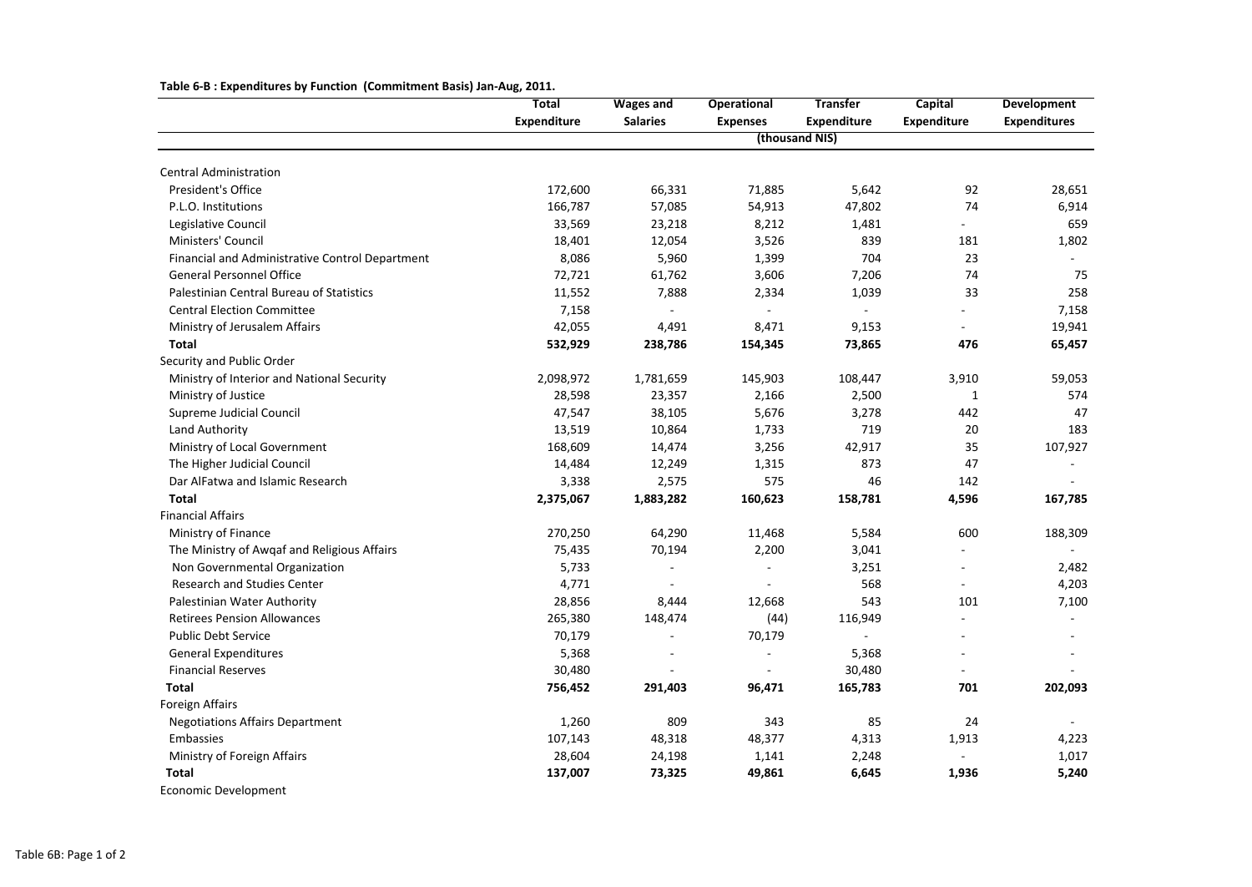|                                                 | <b>Total</b>       | <b>Wages and</b> | <b>Operational</b> | <b>Transfer</b>    | <b>Capital</b>           | <b>Development</b>  |
|-------------------------------------------------|--------------------|------------------|--------------------|--------------------|--------------------------|---------------------|
|                                                 | <b>Expenditure</b> | <b>Salaries</b>  | <b>Expenses</b>    | <b>Expenditure</b> | <b>Expenditure</b>       | <b>Expenditures</b> |
|                                                 |                    |                  |                    | (thousand NIS)     |                          |                     |
| <b>Central Administration</b>                   |                    |                  |                    |                    |                          |                     |
| President's Office                              | 172,600            | 66,331           | 71,885             | 5,642              | 92                       | 28,651              |
| P.L.O. Institutions                             | 166,787            | 57,085           | 54,913             | 47,802             | 74                       | 6,914               |
| Legislative Council                             | 33,569             | 23,218           | 8,212              | 1,481              | $\overline{\phantom{a}}$ | 659                 |
| Ministers' Council                              | 18,401             | 12,054           | 3,526              | 839                | 181                      | 1,802               |
| Financial and Administrative Control Department | 8,086              | 5,960            | 1,399              | 704                | 23                       |                     |
| <b>General Personnel Office</b>                 | 72,721             | 61,762           | 3,606              | 7,206              | 74                       | 75                  |
| Palestinian Central Bureau of Statistics        | 11,552             | 7,888            | 2,334              | 1,039              | 33                       | 258                 |
| <b>Central Election Committee</b>               | 7,158              |                  |                    |                    |                          | 7,158               |
| Ministry of Jerusalem Affairs                   | 42,055             | 4,491            | 8,471              | 9,153              | $\overline{\phantom{a}}$ | 19,941              |
| <b>Total</b>                                    | 532,929            | 238,786          | 154,345            | 73,865             | 476                      | 65,457              |
| Security and Public Order                       |                    |                  |                    |                    |                          |                     |
| Ministry of Interior and National Security      | 2,098,972          | 1,781,659        | 145,903            | 108,447            | 3,910                    | 59,053              |
| Ministry of Justice                             | 28,598             | 23,357           | 2,166              | 2,500              | 1                        | 574                 |
| <b>Supreme Judicial Council</b>                 | 47,547             | 38,105           | 5,676              | 3,278              | 442                      | 47                  |
| Land Authority                                  | 13,519             | 10,864           | 1,733              | 719                | 20                       | 183                 |
| Ministry of Local Government                    | 168,609            | 14,474           | 3,256              | 42,917             | 35                       | 107,927             |
| The Higher Judicial Council                     | 14,484             | 12,249           | 1,315              | 873                | 47                       |                     |
| Dar AlFatwa and Islamic Research                | 3,338              | 2,575            | 575                | 46                 | 142                      |                     |
| <b>Total</b>                                    | 2,375,067          | 1,883,282        | 160,623            | 158,781            | 4,596                    | 167,785             |
| <b>Financial Affairs</b>                        |                    |                  |                    |                    |                          |                     |
| Ministry of Finance                             | 270,250            | 64,290           | 11,468             | 5,584              | 600                      | 188,309             |
| The Ministry of Awqaf and Religious Affairs     | 75,435             | 70,194           | 2,200              | 3,041              |                          |                     |
| Non Governmental Organization                   | 5,733              |                  |                    | 3,251              | $\overline{\phantom{a}}$ | 2,482               |
| <b>Research and Studies Center</b>              | 4,771              |                  |                    | 568                |                          | 4,203               |
| Palestinian Water Authority                     | 28,856             | 8,444            | 12,668             | 543                | 101                      | 7,100               |
| <b>Retirees Pension Allowances</b>              | 265,380            | 148,474          | (44)               | 116,949            | $\overline{\phantom{a}}$ |                     |
| <b>Public Debt Service</b>                      | 70,179             |                  | 70,179             |                    |                          |                     |
| <b>General Expenditures</b>                     | 5,368              |                  |                    | 5,368              |                          |                     |
| <b>Financial Reserves</b>                       | 30,480             |                  |                    | 30,480             |                          |                     |
| <b>Total</b>                                    | 756,452            | 291,403          | 96,471             | 165,783            | 701                      | 202,093             |
| Foreign Affairs                                 |                    |                  |                    |                    |                          |                     |
| <b>Negotiations Affairs Department</b>          | 1,260              | 809              | 343                | 85                 | 24                       |                     |
| Embassies                                       | 107,143            | 48,318           | 48,377             | 4,313              | 1,913                    | 4,223               |
| Ministry of Foreign Affairs                     | 28,604             | 24,198           | 1,141              | 2,248              |                          | 1,017               |
| <b>Total</b>                                    | 137,007            | 73,325           | 49,861             | 6,645              | 1,936                    | 5,240               |
| <b>Economic Development</b>                     |                    |                  |                    |                    |                          |                     |

**Table 6-B : Expenditures by Function (Commitment Basis) Jan-Aug, 2011.**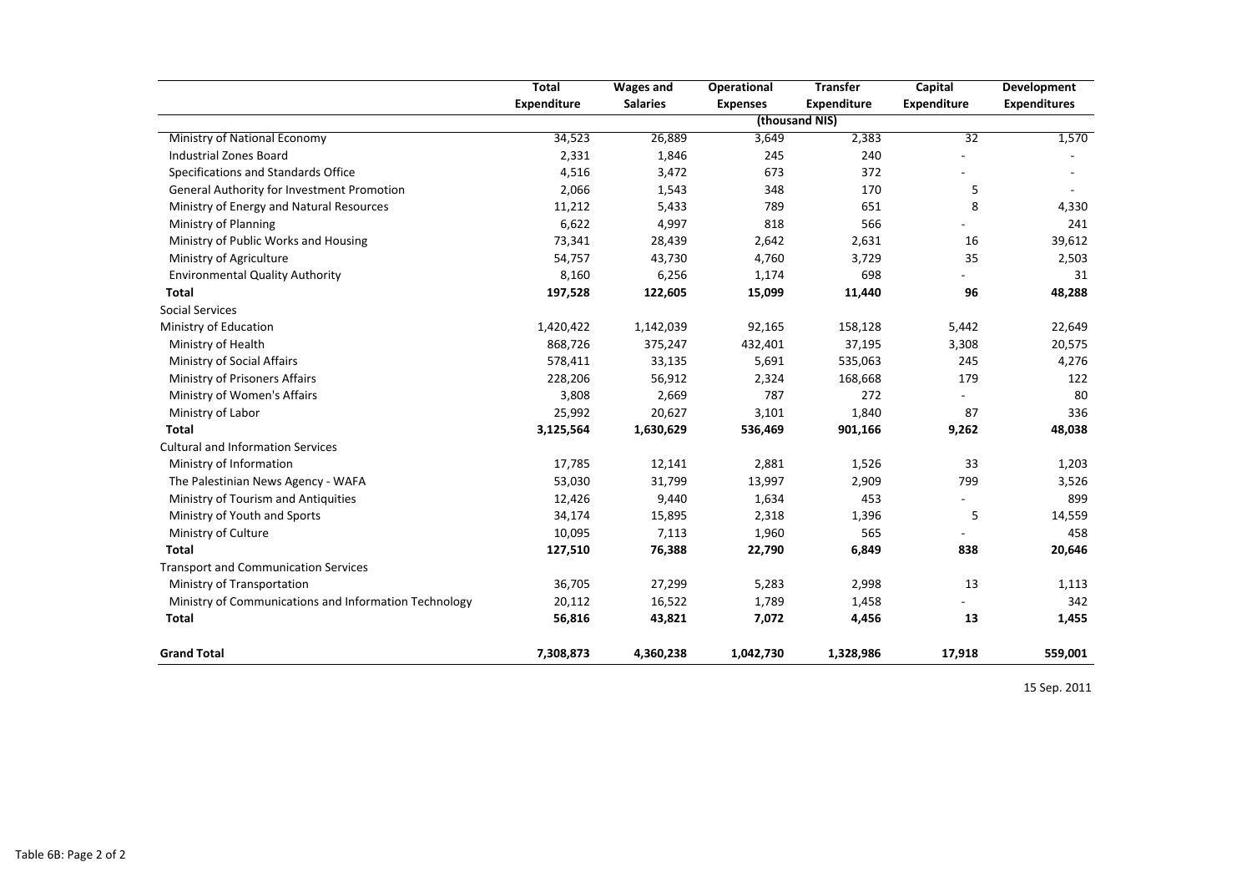|                                                       | <b>Total</b>       | <b>Wages and</b> | <b>Operational</b> | <b>Transfer</b>    | <b>Capital</b>     | <b>Development</b>  |
|-------------------------------------------------------|--------------------|------------------|--------------------|--------------------|--------------------|---------------------|
|                                                       | <b>Expenditure</b> | <b>Salaries</b>  | <b>Expenses</b>    | <b>Expenditure</b> | <b>Expenditure</b> | <b>Expenditures</b> |
|                                                       |                    |                  |                    | (thousand NIS)     |                    |                     |
| Ministry of National Economy                          | 34,523             | 26,889           | 3,649              | 2,383              | $\overline{32}$    | 1,570               |
| <b>Industrial Zones Board</b>                         | 2,331              | 1,846            | 245                | 240                |                    |                     |
| Specifications and Standards Office                   | 4,516              | 3,472            | 673                | 372                |                    |                     |
| General Authority for Investment Promotion            | 2,066              | 1,543            | 348                | 170                | 5                  |                     |
| Ministry of Energy and Natural Resources              | 11,212             | 5,433            | 789                | 651                | 8                  | 4,330               |
| Ministry of Planning                                  | 6,622              | 4,997            | 818                | 566                |                    | 241                 |
| Ministry of Public Works and Housing                  | 73,341             | 28,439           | 2,642              | 2,631              | 16                 | 39,612              |
| Ministry of Agriculture                               | 54,757             | 43,730           | 4,760              | 3,729              | 35                 | 2,503               |
| <b>Environmental Quality Authority</b>                | 8,160              | 6,256            | 1,174              | 698                |                    | 31                  |
| <b>Total</b>                                          | 197,528            | 122,605          | 15,099             | 11,440             | 96                 | 48,288              |
| <b>Social Services</b>                                |                    |                  |                    |                    |                    |                     |
| Ministry of Education                                 | 1,420,422          | 1,142,039        | 92,165             | 158,128            | 5,442              | 22,649              |
| Ministry of Health                                    | 868,726            | 375,247          | 432,401            | 37,195             | 3,308              | 20,575              |
| Ministry of Social Affairs                            | 578,411            | 33,135           | 5,691              | 535,063            | 245                | 4,276               |
| Ministry of Prisoners Affairs                         | 228,206            | 56,912           | 2,324              | 168,668            | 179                | 122                 |
| Ministry of Women's Affairs                           | 3,808              | 2,669            | 787                | 272                |                    | 80                  |
| Ministry of Labor                                     | 25,992             | 20,627           | 3,101              | 1,840              | 87                 | 336                 |
| <b>Total</b>                                          | 3,125,564          | 1,630,629        | 536,469            | 901,166            | 9,262              | 48,038              |
| <b>Cultural and Information Services</b>              |                    |                  |                    |                    |                    |                     |
| Ministry of Information                               | 17,785             | 12,141           | 2,881              | 1,526              | 33                 | 1,203               |
| The Palestinian News Agency - WAFA                    | 53,030             | 31,799           | 13,997             | 2,909              | 799                | 3,526               |
| Ministry of Tourism and Antiquities                   | 12,426             | 9,440            | 1,634              | 453                |                    | 899                 |
| Ministry of Youth and Sports                          | 34,174             | 15,895           | 2,318              | 1,396              | 5                  | 14,559              |
| Ministry of Culture                                   | 10,095             | 7,113            | 1,960              | 565                |                    | 458                 |
| <b>Total</b>                                          | 127,510            | 76,388           | 22,790             | 6,849              | 838                | 20,646              |
| <b>Transport and Communication Services</b>           |                    |                  |                    |                    |                    |                     |
| Ministry of Transportation                            | 36,705             | 27,299           | 5,283              | 2,998              | 13                 | 1,113               |
| Ministry of Communications and Information Technology | 20,112             | 16,522           | 1,789              | 1,458              |                    | 342                 |
| <b>Total</b>                                          | 56,816             | 43,821           | 7,072              | 4,456              | 13                 | 1,455               |
| <b>Grand Total</b>                                    | 7,308,873          | 4,360,238        | 1,042,730          | 1,328,986          | 17,918             | 559,001             |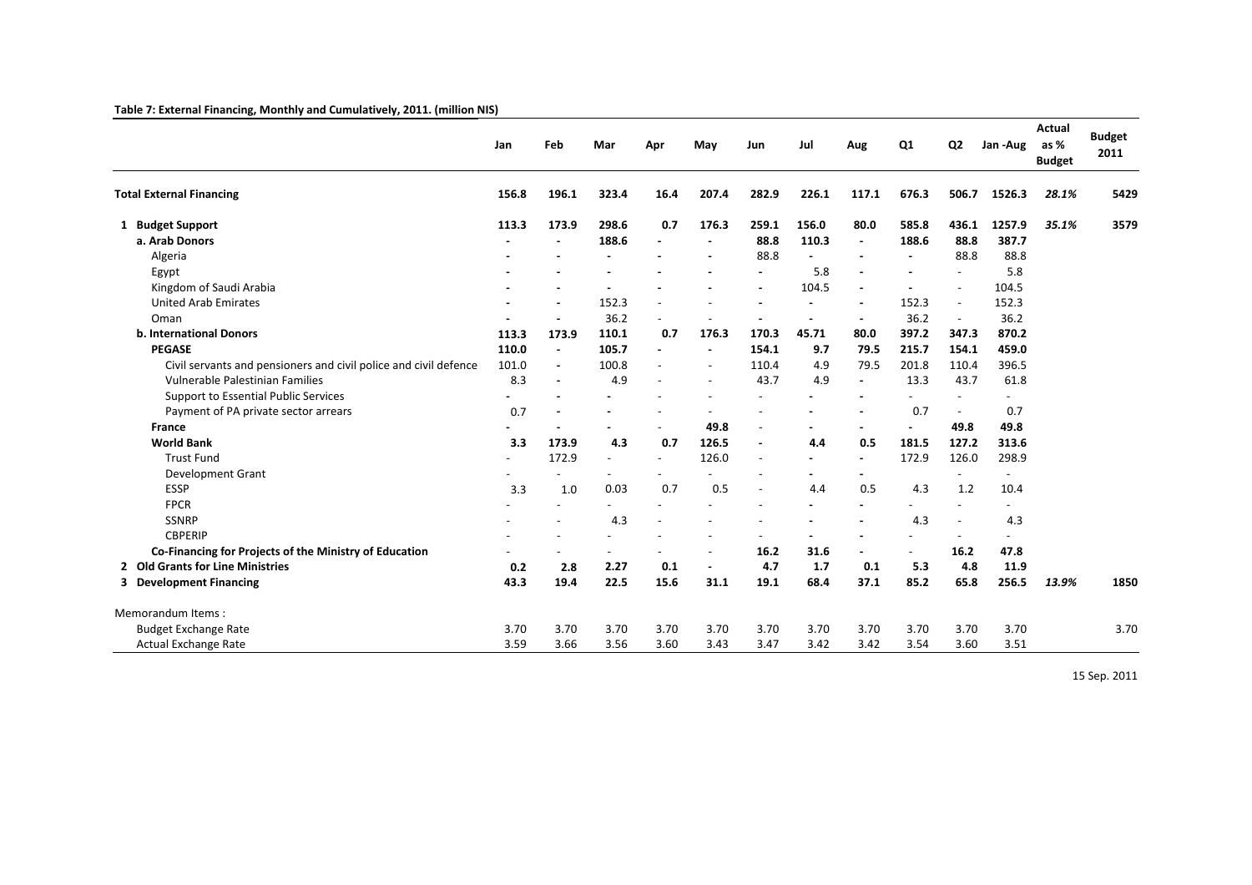## **Table 7: External Financing, Monthly and Cumulatively, 2011. (million NIS)**

|                                                                  | Jan   | Feb                      | Mar                      | Apr            | May                      | Jun                      | Jul   | Aug                      | Q <sub>1</sub>           | Q <sub>2</sub>           | Jan-Aug        | <b>Actual</b><br>as %<br><b>Budget</b> | <b>Budget</b><br>2011 |
|------------------------------------------------------------------|-------|--------------------------|--------------------------|----------------|--------------------------|--------------------------|-------|--------------------------|--------------------------|--------------------------|----------------|----------------------------------------|-----------------------|
| <b>Total External Financing</b>                                  | 156.8 | 196.1                    | 323.4                    | 16.4           | 207.4                    | 282.9                    | 226.1 | 117.1                    | 676.3                    | 506.7                    | 1526.3         | 28.1%                                  | 5429                  |
| 1 Budget Support                                                 | 113.3 | 173.9                    | 298.6                    | 0.7            | 176.3                    | 259.1                    | 156.0 | 80.0                     | 585.8                    | 436.1                    | 1257.9         | 35.1%                                  | 3579                  |
| a. Arab Donors                                                   |       | $\overline{\phantom{a}}$ | 188.6                    |                | $\blacksquare$           | 88.8                     | 110.3 | $\blacksquare$           | 188.6                    | 88.8                     | 387.7          |                                        |                       |
| Algeria                                                          |       |                          |                          |                |                          | 88.8                     |       |                          |                          | 88.8                     | 88.8           |                                        |                       |
| Egypt                                                            |       |                          |                          |                |                          | $\blacksquare$           | 5.8   | $\overline{\phantom{a}}$ |                          | $\overline{\phantom{a}}$ | 5.8            |                                        |                       |
| Kingdom of Saudi Arabia                                          |       |                          |                          |                |                          |                          | 104.5 | $\overline{\phantom{a}}$ |                          | $\overline{\phantom{a}}$ | 104.5          |                                        |                       |
| <b>United Arab Emirates</b>                                      |       |                          | 152.3                    |                |                          |                          |       | $\overline{a}$           | 152.3                    | $\overline{\phantom{a}}$ | 152.3          |                                        |                       |
| Oman                                                             |       |                          | 36.2                     |                |                          |                          |       | $\blacksquare$           | 36.2                     | $\overline{\phantom{a}}$ | 36.2           |                                        |                       |
| <b>b. International Donors</b>                                   | 113.3 | 173.9                    | 110.1                    | 0.7            | 176.3                    | 170.3                    | 45.71 | 80.0                     | 397.2                    | 347.3                    | 870.2          |                                        |                       |
| <b>PEGASE</b>                                                    | 110.0 | $\blacksquare$           | 105.7                    | $\blacksquare$ | $\blacksquare$           | 154.1                    | 9.7   | 79.5                     | 215.7                    | 154.1                    | 459.0          |                                        |                       |
| Civil servants and pensioners and civil police and civil defence | 101.0 | $\blacksquare$           | 100.8                    |                | $\overline{\phantom{a}}$ | 110.4                    | 4.9   | 79.5                     | 201.8                    | 110.4                    | 396.5          |                                        |                       |
| Vulnerable Palestinian Families                                  | 8.3   | $\blacksquare$           | 4.9                      |                | $\overline{\phantom{a}}$ | 43.7                     | 4.9   | $\blacksquare$           | 13.3                     | 43.7                     | 61.8           |                                        |                       |
| <b>Support to Essential Public Services</b>                      |       |                          | $\overline{a}$           |                |                          | $\overline{a}$           |       |                          |                          |                          |                |                                        |                       |
| Payment of PA private sector arrears                             | 0.7   |                          |                          |                |                          |                          |       |                          | 0.7                      | $\sim$                   | 0.7            |                                        |                       |
| <b>France</b>                                                    |       |                          |                          |                | 49.8                     | $\overline{a}$           |       |                          |                          | 49.8                     | 49.8           |                                        |                       |
| <b>World Bank</b>                                                | 3.3   | 173.9                    | 4.3                      | 0.7            | 126.5                    | $\blacksquare$           | 4.4   | 0.5                      | 181.5                    | 127.2                    | 313.6          |                                        |                       |
| <b>Trust Fund</b>                                                |       | 172.9                    | $\overline{a}$           |                | 126.0                    | $\overline{\phantom{a}}$ |       | $\overline{\phantom{a}}$ | 172.9                    | 126.0                    | 298.9          |                                        |                       |
| Development Grant                                                |       |                          |                          |                |                          |                          |       |                          |                          |                          | $\overline{a}$ |                                        |                       |
| ESSP                                                             | 3.3   | 1.0                      | 0.03                     | 0.7            | 0.5                      | $\overline{a}$           | 4.4   | 0.5                      | 4.3                      | 1.2                      | 10.4           |                                        |                       |
| <b>FPCR</b>                                                      |       |                          |                          |                |                          |                          |       |                          |                          | $\overline{a}$           |                |                                        |                       |
| <b>SSNRP</b>                                                     |       |                          | 4.3                      |                |                          |                          |       |                          | 4.3                      | $\overline{a}$           | 4.3            |                                        |                       |
| <b>CBPERIP</b>                                                   |       |                          |                          |                |                          |                          |       |                          |                          | $\overline{\phantom{a}}$ | $\overline{a}$ |                                        |                       |
| Co-Financing for Projects of the Ministry of Education           |       |                          | $\overline{\phantom{a}}$ |                |                          | 16.2                     | 31.6  |                          | $\overline{\phantom{a}}$ | 16.2                     | 47.8           |                                        |                       |
| 2 Old Grants for Line Ministries                                 | 0.2   | 2.8                      | 2.27                     | 0.1            | $\blacksquare$           | 4.7                      | 1.7   | 0.1                      | 5.3                      | 4.8                      | 11.9           |                                        |                       |
| 3 Development Financing                                          | 43.3  | 19.4                     | 22.5                     | 15.6           | 31.1                     | 19.1                     | 68.4  | 37.1                     | 85.2                     | 65.8                     | 256.5          | 13.9%                                  | 1850                  |
| Memorandum Items:                                                |       |                          |                          |                |                          |                          |       |                          |                          |                          |                |                                        |                       |
| <b>Budget Exchange Rate</b>                                      | 3.70  | 3.70                     | 3.70                     | 3.70           | 3.70                     | 3.70                     | 3.70  | 3.70                     | 3.70                     | 3.70                     | 3.70           |                                        | 3.70                  |
| Actual Exchange Rate                                             | 3.59  | 3.66                     | 3.56                     | 3.60           | 3.43                     | 3.47                     | 3.42  | 3.42                     | 3.54                     | 3.60                     | 3.51           |                                        |                       |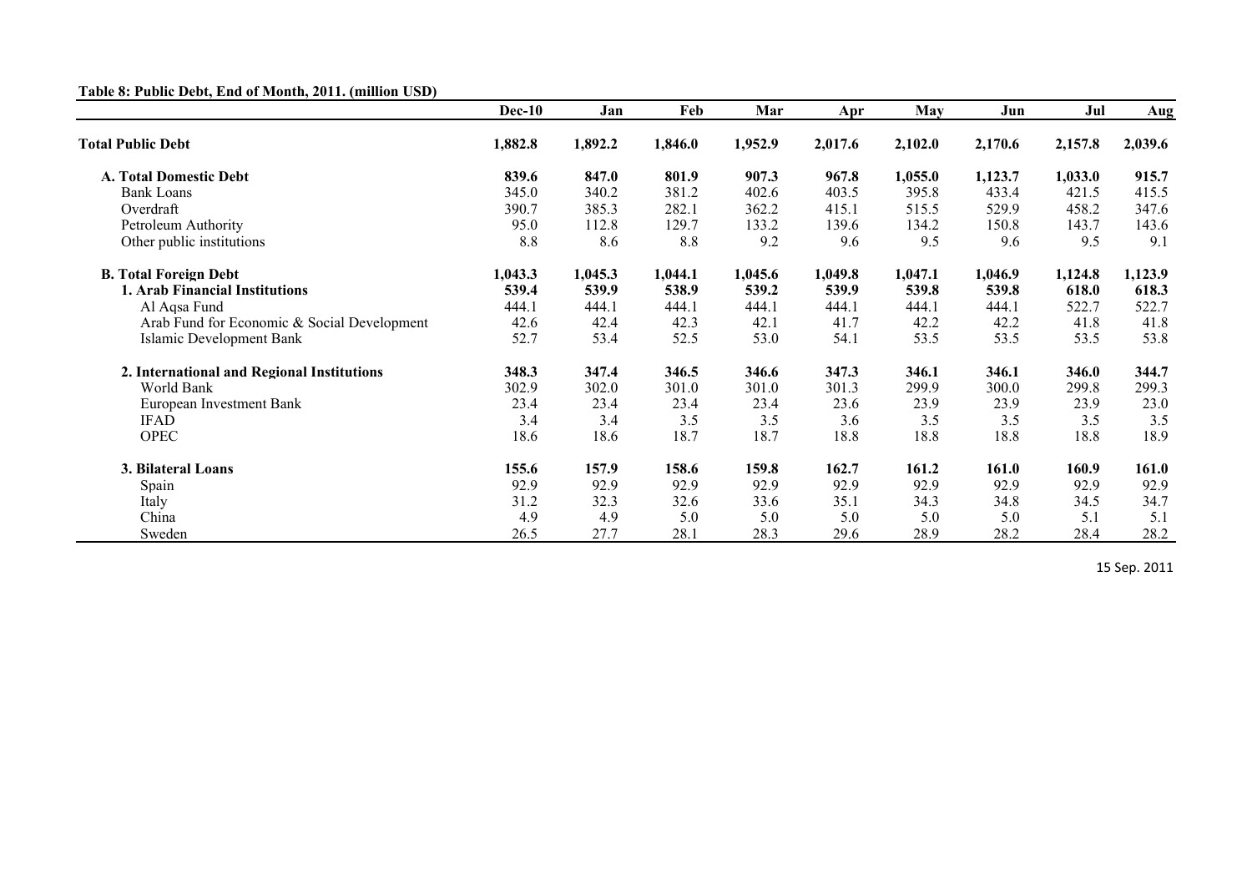## **Table 8: Public Debt, End of Month, 2011. (million USD)**

|                                             | <b>Dec-10</b> | Jan     | Feb     | Mar     | Apr     | May     | Jun     | Jul     | Aug     |
|---------------------------------------------|---------------|---------|---------|---------|---------|---------|---------|---------|---------|
| <b>Total Public Debt</b>                    | 1,882.8       | 1,892.2 | 1,846.0 | 1,952.9 | 2,017.6 | 2,102.0 | 2,170.6 | 2,157.8 | 2,039.6 |
| <b>A. Total Domestic Debt</b>               | 839.6         | 847.0   | 801.9   | 907.3   | 967.8   | 1,055.0 | 1,123.7 | 1,033.0 | 915.7   |
| <b>Bank Loans</b>                           | 345.0         | 340.2   | 381.2   | 402.6   | 403.5   | 395.8   | 433.4   | 421.5   | 415.5   |
| Overdraft                                   | 390.7         | 385.3   | 282.1   | 362.2   | 415.1   | 515.5   | 529.9   | 458.2   | 347.6   |
| Petroleum Authority                         | 95.0          | 112.8   | 129.7   | 133.2   | 139.6   | 134.2   | 150.8   | 143.7   | 143.6   |
| Other public institutions                   | 8.8           | 8.6     | 8.8     | 9.2     | 9.6     | 9.5     | 9.6     | 9.5     | 9.1     |
| <b>B.</b> Total Foreign Debt                | 1,043.3       | 1,045.3 | 1,044.1 | 1,045.6 | 1,049.8 | 1,047.1 | 1,046.9 | 1,124.8 | 1,123.9 |
| 1. Arab Financial Institutions              | 539.4         | 539.9   | 538.9   | 539.2   | 539.9   | 539.8   | 539.8   | 618.0   | 618.3   |
| Al Aqsa Fund                                | 444.1         | 444.1   | 444.1   | 444.1   | 444.1   | 444.1   | 444.1   | 522.7   | 522.7   |
| Arab Fund for Economic & Social Development | 42.6          | 42.4    | 42.3    | 42.1    | 41.7    | 42.2    | 42.2    | 41.8    | 41.8    |
| Islamic Development Bank                    | 52.7          | 53.4    | 52.5    | 53.0    | 54.1    | 53.5    | 53.5    | 53.5    | 53.8    |
| 2. International and Regional Institutions  | 348.3         | 347.4   | 346.5   | 346.6   | 347.3   | 346.1   | 346.1   | 346.0   | 344.7   |
| World Bank                                  | 302.9         | 302.0   | 301.0   | 301.0   | 301.3   | 299.9   | 300.0   | 299.8   | 299.3   |
| European Investment Bank                    | 23.4          | 23.4    | 23.4    | 23.4    | 23.6    | 23.9    | 23.9    | 23.9    | 23.0    |
| <b>IFAD</b>                                 | 3.4           | 3.4     | 3.5     | 3.5     | 3.6     | 3.5     | 3.5     | 3.5     | 3.5     |
| <b>OPEC</b>                                 | 18.6          | 18.6    | 18.7    | 18.7    | 18.8    | 18.8    | 18.8    | 18.8    | 18.9    |
| 3. Bilateral Loans                          | 155.6         | 157.9   | 158.6   | 159.8   | 162.7   | 161.2   | 161.0   | 160.9   | 161.0   |
| Spain                                       | 92.9          | 92.9    | 92.9    | 92.9    | 92.9    | 92.9    | 92.9    | 92.9    | 92.9    |
| Italy                                       | 31.2          | 32.3    | 32.6    | 33.6    | 35.1    | 34.3    | 34.8    | 34.5    | 34.7    |
| China                                       | 4.9           | 4.9     | 5.0     | 5.0     | 5.0     | 5.0     | 5.0     | 5.1     | 5.1     |
| Sweden                                      | 26.5          | 27.7    | 28.1    | 28.3    | 29.6    | 28.9    | 28.2    | 28.4    | 28.2    |